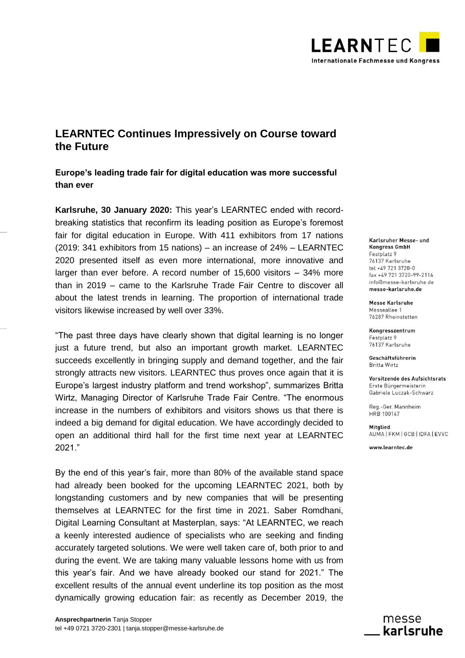

# **LEARNTEC Continues Impressively on Course toward the Future**

**Europe's leading trade fair for digital education was more successful than ever**

**Karlsruhe, 30 January 2020:** This year's LEARNTEC ended with recordbreaking statistics that reconfirm its leading position as Europe's foremost fair for digital education in Europe. With 411 exhibitors from 17 nations (2019: 341 exhibitors from 15 nations) – an increase of 24% – LEARNTEC 2020 presented itself as even more international, more innovative and larger than ever before. A record number of 15,600 visitors – 34% more than in 2019 – came to the Karlsruhe Trade Fair Centre to discover all about the latest trends in learning. The proportion of international trade visitors likewise increased by well over 33%.

"The past three days have clearly shown that digital learning is no longer just a future trend, but also an important growth market. LEARNTEC succeeds excellently in bringing supply and demand together, and the fair strongly attracts new visitors. LEARNTEC thus proves once again that it is Europe's largest industry platform and trend workshop", summarizes Britta Wirtz, Managing Director of Karlsruhe Trade Fair Centre. "The enormous increase in the numbers of exhibitors and visitors shows us that there is indeed a big demand for digital education. We have accordingly decided to open an additional third hall for the first time next year at LEARNTEC 2021."

By the end of this year's fair, more than 80% of the available stand space had already been booked for the upcoming LEARNTEC 2021, both by longstanding customers and by new companies that will be presenting themselves at LEARNTEC for the first time in 2021. Saber Romdhani, Digital Learning Consultant at Masterplan, says: "At LEARNTEC, we reach a keenly interested audience of specialists who are seeking and finding accurately targeted solutions. We were well taken care of, both prior to and during the event. We are taking many valuable lessons home with us from this year's fair. And we have already booked our stand for 2021." The excellent results of the annual event underline its top position as the most dynamically growing education fair: as recently as December 2019, the Karlsruher Messe- und **Kongress GmbH** Festplatz 9 76137 Karlsruhe tel +49 721 3720-0 fax +49 721 3720-99-2116 info@messe-karlsruhe.de messe-karlsruhe.de

**Messe Karlsruhe** Messeallee 1 76287 Rheinstetten

Kongresszentrum Festplatz 9 76137 Karlsruhe

Geschäftsführerin **Britta Wirtz** 

Vorsitzende des Aufsichtsrats Erste Bürgermeisterin Gabriele Luczak-Schwarz

Reg.-Ger. Mannheim HRB 100147

Mitalied AUMA | FKM | GCB | IDFA | EVVC

www.learntec.de

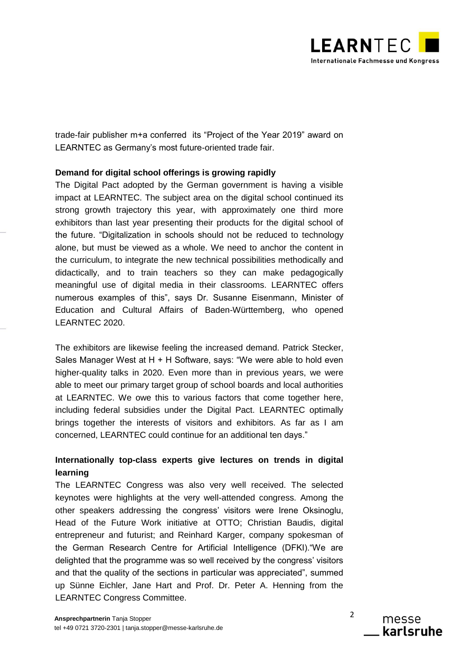

trade-fair publisher m+a conferred its "Project of the Year 2019" award on LEARNTEC as Germany's most future-oriented trade fair.

## **Demand for digital school offerings is growing rapidly**

The Digital Pact adopted by the German government is having a visible impact at LEARNTEC. The subject area on the digital school continued its strong growth trajectory this year, with approximately one third more exhibitors than last year presenting their products for the digital school of the future. "Digitalization in schools should not be reduced to technology alone, but must be viewed as a whole. We need to anchor the content in the curriculum, to integrate the new technical possibilities methodically and didactically, and to train teachers so they can make pedagogically meaningful use of digital media in their classrooms. LEARNTEC offers numerous examples of this", says Dr. Susanne Eisenmann, Minister of Education and Cultural Affairs of Baden-Württemberg, who opened LEARNTEC 2020.

The exhibitors are likewise feeling the increased demand. Patrick Stecker, Sales Manager West at H + H Software, says: "We were able to hold even higher-quality talks in 2020. Even more than in previous years, we were able to meet our primary target group of school boards and local authorities at LEARNTEC. We owe this to various factors that come together here, including federal subsidies under the Digital Pact. LEARNTEC optimally brings together the interests of visitors and exhibitors. As far as I am concerned, LEARNTEC could continue for an additional ten days."

# **Internationally top-class experts give lectures on trends in digital learning**

The LEARNTEC Congress was also very well received. The selected keynotes were highlights at the very well-attended congress. Among the other speakers addressing the congress' visitors were Irene Oksinoglu, Head of the Future Work initiative at OTTO; Christian Baudis, digital entrepreneur and futurist; and Reinhard Karger, company spokesman of the German Research Centre for Artificial Intelligence (DFKI)."We are delighted that the programme was so well received by the congress' visitors and that the quality of the sections in particular was appreciated", summed up Sünne Eichler, Jane Hart and Prof. Dr. Peter A. Henning from the LEARNTEC Congress Committee.

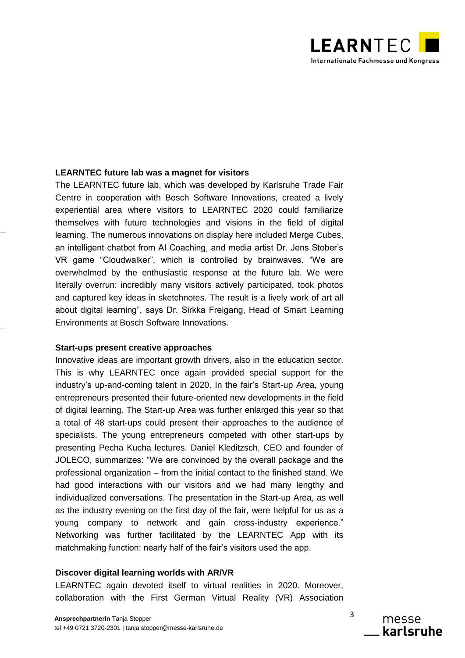

### **LEARNTEC future lab was a magnet for visitors**

The LEARNTEC future lab, which was developed by Karlsruhe Trade Fair Centre in cooperation with Bosch Software Innovations, created a lively experiential area where visitors to LEARNTEC 2020 could familiarize themselves with future technologies and visions in the field of digital learning. The numerous innovations on display here included Merge Cubes, an intelligent chatbot from AI Coaching, and media artist Dr. Jens Stober's VR game "Cloudwalker", which is controlled by brainwaves. "We are overwhelmed by the enthusiastic response at the future lab. We were literally overrun: incredibly many visitors actively participated, took photos and captured key ideas in sketchnotes. The result is a lively work of art all about digital learning", says Dr. Sirkka Freigang, Head of Smart Learning Environments at Bosch Software Innovations.

#### **Start-ups present creative approaches**

Innovative ideas are important growth drivers, also in the education sector. This is why LEARNTEC once again provided special support for the industry's up-and-coming talent in 2020. In the fair's Start-up Area, young entrepreneurs presented their future-oriented new developments in the field of digital learning. The Start-up Area was further enlarged this year so that a total of 48 start-ups could present their approaches to the audience of specialists. The young entrepreneurs competed with other start-ups by presenting Pecha Kucha lectures. Daniel Kleditzsch, CEO and founder of JOLECO, summarizes: "We are convinced by the overall package and the professional organization – from the initial contact to the finished stand. We had good interactions with our visitors and we had many lengthy and individualized conversations. The presentation in the Start-up Area, as well as the industry evening on the first day of the fair, were helpful for us as a young company to network and gain cross-industry experience." Networking was further facilitated by the LEARNTEC App with its matchmaking function: nearly half of the fair's visitors used the app.

### **Discover digital learning worlds with AR/VR**

LEARNTEC again devoted itself to virtual realities in 2020. Moreover, collaboration with the First German Virtual Reality (VR) Association

3 messe karlsruhe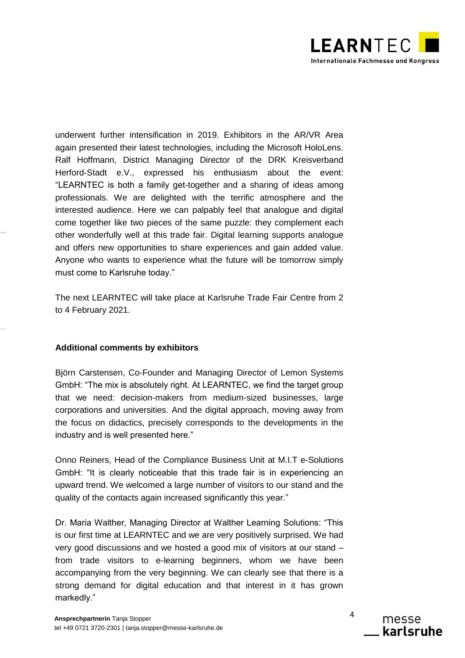

underwent further intensification in 2019. Exhibitors in the AR/VR Area again presented their latest technologies, including the Microsoft HoloLens. Ralf Hoffmann, District Managing Director of the DRK Kreisverband Herford-Stadt e.V., expressed his enthusiasm about the event: "LEARNTEC is both a family get-together and a sharing of ideas among professionals. We are delighted with the terrific atmosphere and the interested audience. Here we can palpably feel that analogue and digital come together like two pieces of the same puzzle: they complement each other wonderfully well at this trade fair. Digital learning supports analogue and offers new opportunities to share experiences and gain added value. Anyone who wants to experience what the future will be tomorrow simply must come to Karlsruhe today."

The next LEARNTEC will take place at Karlsruhe Trade Fair Centre from 2 to 4 February 2021.

#### **Additional comments by exhibitors**

Björn Carstensen, Co-Founder and Managing Director of Lemon Systems GmbH: "The mix is absolutely right. At LEARNTEC, we find the target group that we need: decision-makers from medium-sized businesses, large corporations and universities. And the digital approach, moving away from the focus on didactics, precisely corresponds to the developments in the industry and is well presented here."

Onno Reiners, Head of the Compliance Business Unit at M.I.T e-Solutions GmbH: "It is clearly noticeable that this trade fair is in experiencing an upward trend. We welcomed a large number of visitors to our stand and the quality of the contacts again increased significantly this year."

Dr. Maria Walther, Managing Director at Walther Learning Solutions: "This is our first time at LEARNTEC and we are very positively surprised. We had very good discussions and we hosted a good mix of visitors at our stand – from trade visitors to e-learning beginners, whom we have been accompanying from the very beginning. We can clearly see that there is a strong demand for digital education and that interest in it has grown markedly."